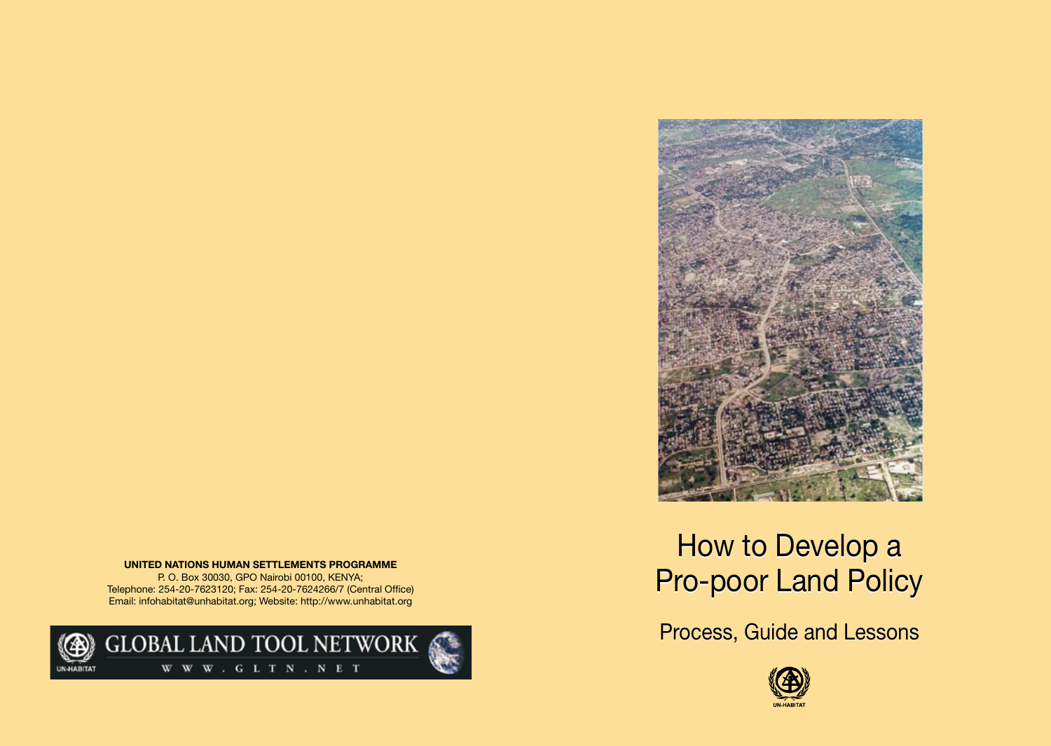

## How to Develop a Pro-poor Land Policy

Process, Guide and Lessons

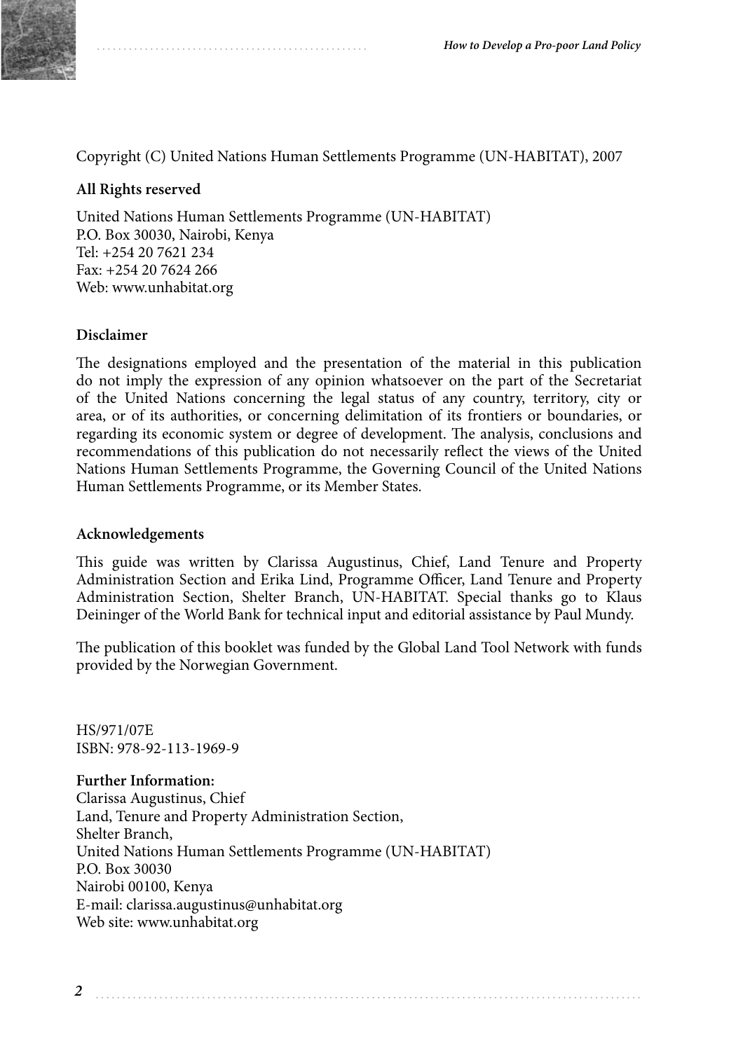

Copyright (C) United Nations Human Settlements Programme (UN-HABITAT), 2007

#### **All Rights reserved**

United Nations Human Settlements Programme (UN-HABITAT) P.O. Box 30030, Nairobi, Kenya Tel: +254 20 7621 234 Fax: +254 20 7624 266 Web: www.unhabitat.org

#### **Disclaimer**

The designations employed and the presentation of the material in this publication do not imply the expression of any opinion whatsoever on the part of the Secretariat of the United Nations concerning the legal status of any country, territory, city or area, or of its authorities, or concerning delimitation of its frontiers or boundaries, or regarding its economic system or degree of development. The analysis, conclusions and recommendations of this publication do not necessarily reflect the views of the United Nations Human Settlements Programme, the Governing Council of the United Nations Human Settlements Programme, or its Member States.

#### **Acknowledgements**

This guide was written by Clarissa Augustinus, Chief, Land Tenure and Property Administration Section and Erika Lind, Programme Officer, Land Tenure and Property Administration Section, Shelter Branch, UN-HABITAT. Special thanks go to Klaus Deininger of the World Bank for technical input and editorial assistance by Paul Mundy.

The publication of this booklet was funded by the Global Land Tool Network with funds provided by the Norwegian Government.

HS/971/07E ISBN: 978-92-113-1969-9

**Further Information:** 

*2*

Clarissa Augustinus, Chief Land, Tenure and Property Administration Section, Shelter Branch, United Nations Human Settlements Programme (UN-HABITAT) P.O. Box 30030 Nairobi 00100, Kenya E-mail: clarissa.augustinus@unhabitat.org Web site: www.unhabitat.org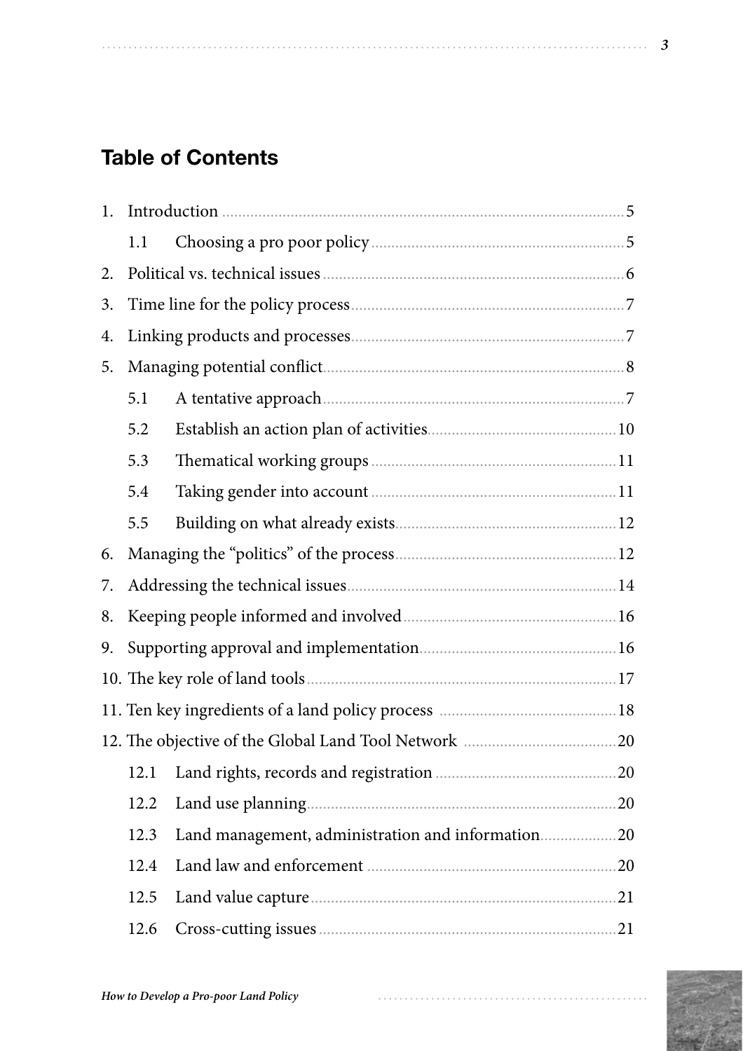## **Table of Contents**

| 1. |      |                                                 |     |
|----|------|-------------------------------------------------|-----|
|    | 1.1  |                                                 |     |
| 2. |      |                                                 |     |
| 3. |      |                                                 |     |
| 4. |      |                                                 |     |
| 5. |      |                                                 |     |
|    | 5.1  |                                                 |     |
|    | 5.2  |                                                 |     |
|    | 5.3  |                                                 |     |
|    | 5.4  |                                                 |     |
|    | 5.5  |                                                 |     |
| 6. |      |                                                 |     |
| 7. |      |                                                 |     |
| 8. |      |                                                 |     |
| 9. |      |                                                 |     |
|    |      |                                                 |     |
|    |      |                                                 |     |
|    |      |                                                 |     |
|    | 12.1 |                                                 | 20  |
|    | 12.2 |                                                 | .20 |
|    | 12.3 | Land management, administration and information | .20 |
|    | 12.4 |                                                 | 20  |
|    | 12.5 |                                                 | .21 |
|    | 12.6 |                                                 |     |

*3*

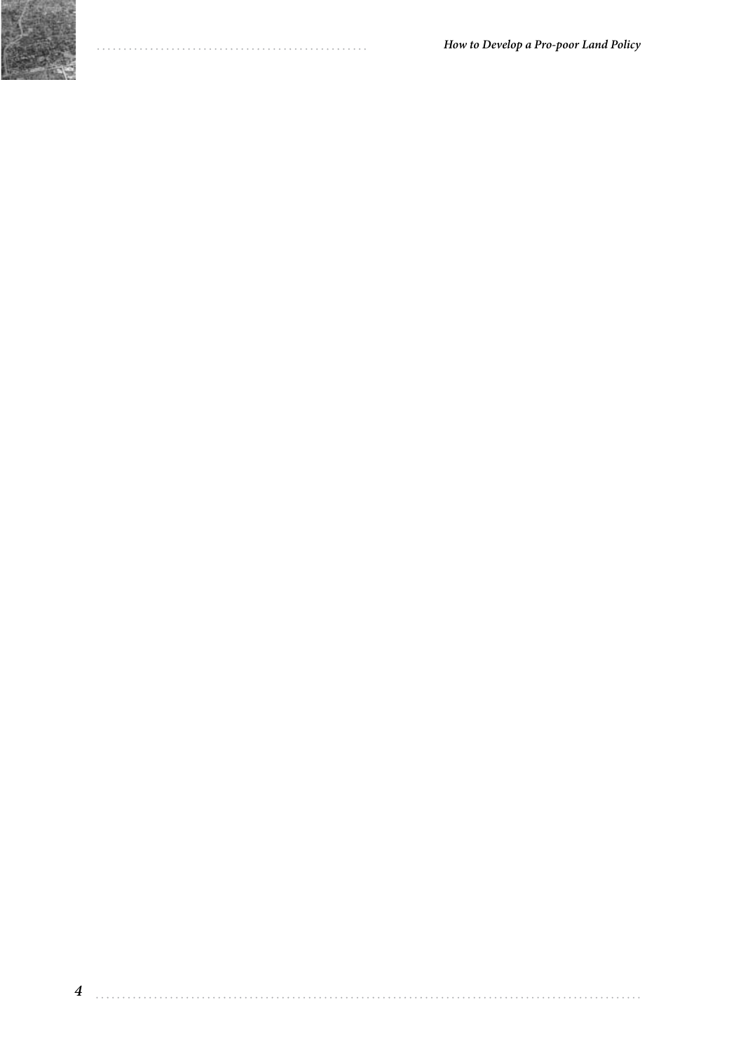

*How to Develop a Pro-poor Land Policy*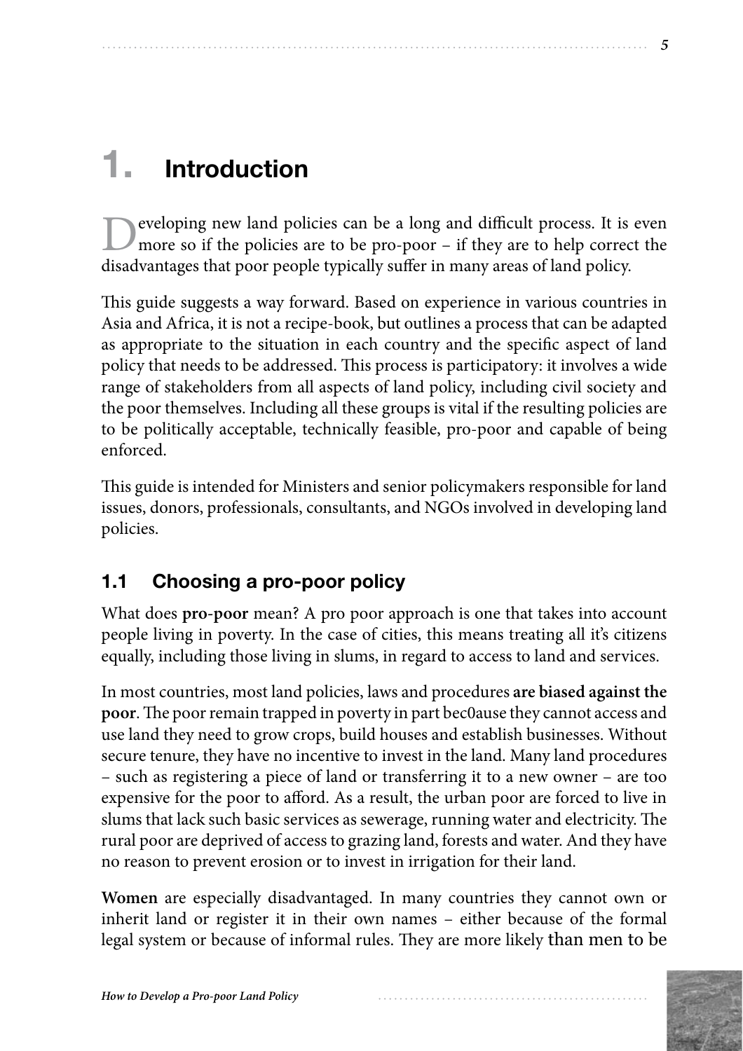## **1. Introduction**

Developing new land policies can be a long and difficult process. It is even more so if the policies are to be pro-poor – if they are to help correct the disadvantages that poor people typically suffer in many areas of land policy.

This guide suggests a way forward. Based on experience in various countries in Asia and Africa, it is not a recipe-book, but outlines a process that can be adapted as appropriate to the situation in each country and the specific aspect of land policy that needs to be addressed. This process is participatory: it involves a wide range of stakeholders from all aspects of land policy, including civil society and the poor themselves. Including all these groups is vital if the resulting policies are to be politically acceptable, technically feasible, pro-poor and capable of being enforced.

This guide is intended for Ministers and senior policymakers responsible for land issues, donors, professionals, consultants, and NGOs involved in developing land policies.

## **1.1 Choosing a pro-poor policy**

What does **pro-poor** mean? A pro poor approach is one that takes into account people living in poverty. In the case of cities, this means treating all it's citizens equally, including those living in slums, in regard to access to land and services.

In most countries, most land policies, laws and procedures **are biased against the poor**. The poor remain trapped in poverty in part bec0ause they cannot access and use land they need to grow crops, build houses and establish businesses. Without secure tenure, they have no incentive to invest in the land. Many land procedures – such as registering a piece of land or transferring it to a new owner – are too expensive for the poor to afford. As a result, the urban poor are forced to live in slums that lack such basic services as sewerage, running water and electricity. The rural poor are deprived of access to grazing land, forests and water. And they have no reason to prevent erosion or to invest in irrigation for their land.

**Women** are especially disadvantaged. In many countries they cannot own or inherit land or register it in their own names – either because of the formal legal system or because of informal rules. They are more likely than men to be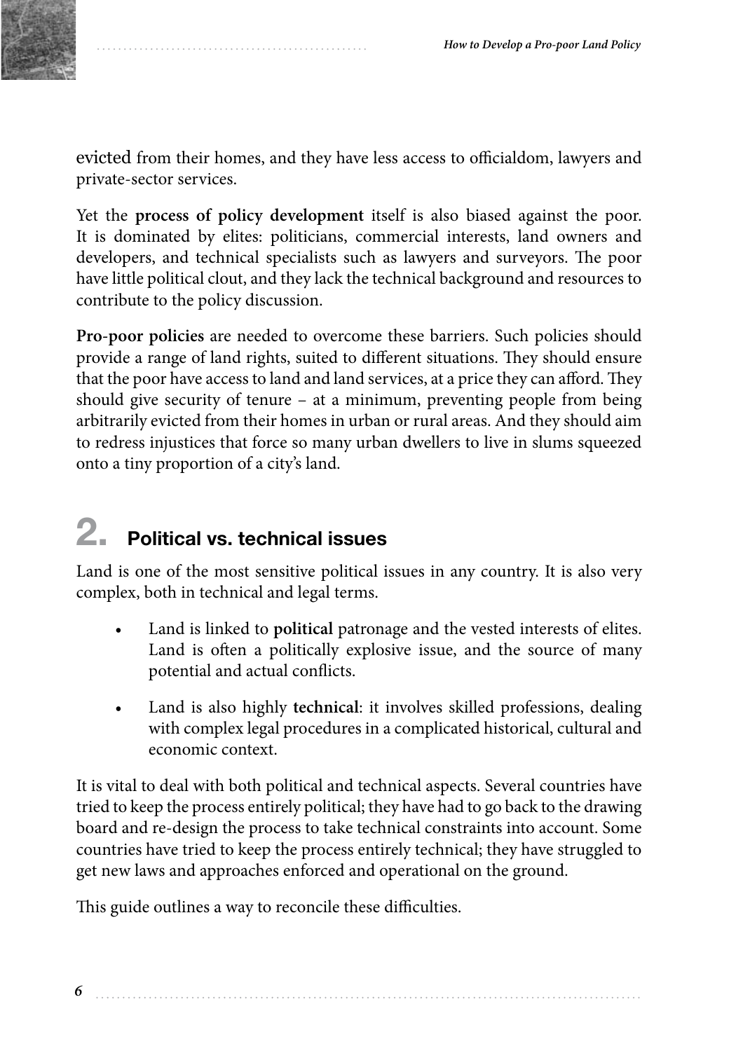

evicted from their homes, and they have less access to officialdom, lawyers and private-sector services.

Yet the **process of policy development** itself is also biased against the poor. It is dominated by elites: politicians, commercial interests, land owners and developers, and technical specialists such as lawyers and surveyors. The poor have little political clout, and they lack the technical background and resources to contribute to the policy discussion.

**Pro-poor policies** are needed to overcome these barriers. Such policies should provide a range of land rights, suited to different situations. They should ensure that the poor have access to land and land services, at a price they can afford. They should give security of tenure – at a minimum, preventing people from being arbitrarily evicted from their homes in urban or rural areas. And they should aim to redress injustices that force so many urban dwellers to live in slums squeezed onto a tiny proportion of a city's land.

## **2. Political vs. technical issues**

Land is one of the most sensitive political issues in any country. It is also very complex, both in technical and legal terms.

- Land is linked to **political** patronage and the vested interests of elites. Land is often a politically explosive issue, and the source of many potential and actual conflicts.
- Land is also highly **technical**: it involves skilled professions, dealing with complex legal procedures in a complicated historical, cultural and economic context.

It is vital to deal with both political and technical aspects. Several countries have tried to keep the process entirely political; they have had to go back to the drawing board and re-design the process to take technical constraints into account. Some countries have tried to keep the process entirely technical; they have struggled to get new laws and approaches enforced and operational on the ground.

This guide outlines a way to reconcile these difficulties.

*6*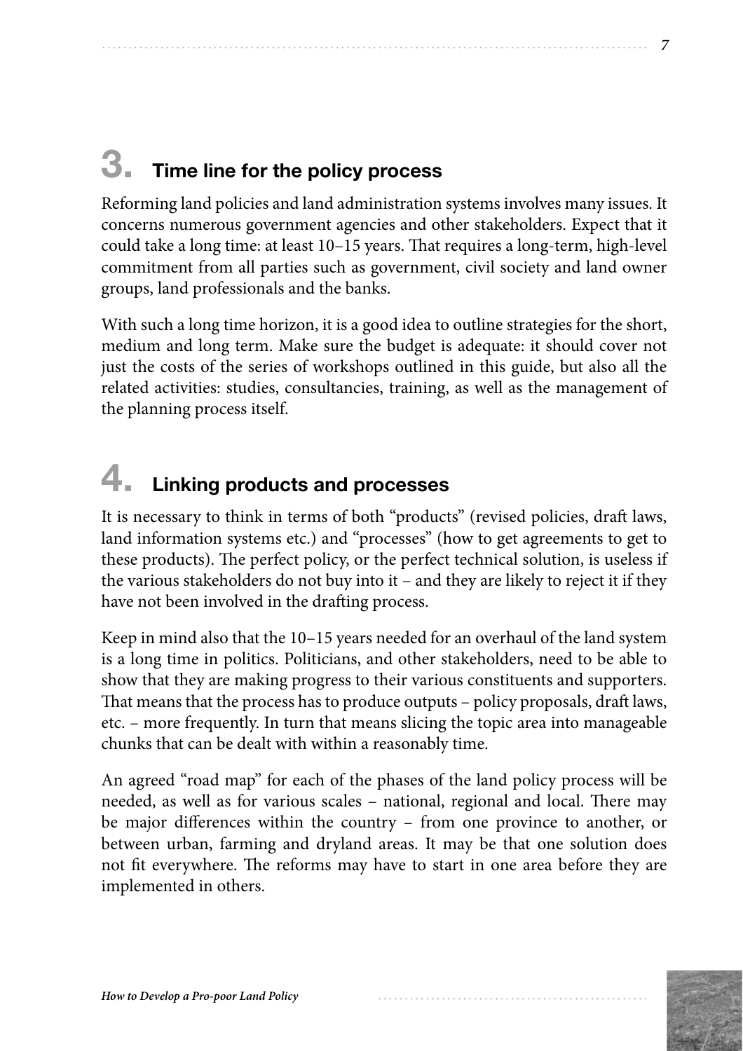## **3. Time line for the policy process**

Reforming land policies and land administration systems involves many issues. It concerns numerous government agencies and other stakeholders. Expect that it could take a long time: at least 10–15 years. That requires a long-term, high-level commitment from all parties such as government, civil society and land owner groups, land professionals and the banks.

With such a long time horizon, it is a good idea to outline strategies for the short, medium and long term. Make sure the budget is adequate: it should cover not just the costs of the series of workshops outlined in this guide, but also all the related activities: studies, consultancies, training, as well as the management of the planning process itself.

## **4. Linking products and processes**

It is necessary to think in terms of both "products" (revised policies, draft laws, land information systems etc.) and "processes" (how to get agreements to get to these products). The perfect policy, or the perfect technical solution, is useless if the various stakeholders do not buy into it – and they are likely to reject it if they have not been involved in the drafting process.

Keep in mind also that the 10–15 years needed for an overhaul of the land system is a long time in politics. Politicians, and other stakeholders, need to be able to show that they are making progress to their various constituents and supporters. That means that the process has to produce outputs – policy proposals, draft laws, etc. – more frequently. In turn that means slicing the topic area into manageable chunks that can be dealt with within a reasonably time.

An agreed "road map" for each of the phases of the land policy process will be needed, as well as for various scales – national, regional and local. There may be major differences within the country – from one province to another, or between urban, farming and dryland areas. It may be that one solution does not fit everywhere. The reforms may have to start in one area before they are implemented in others.

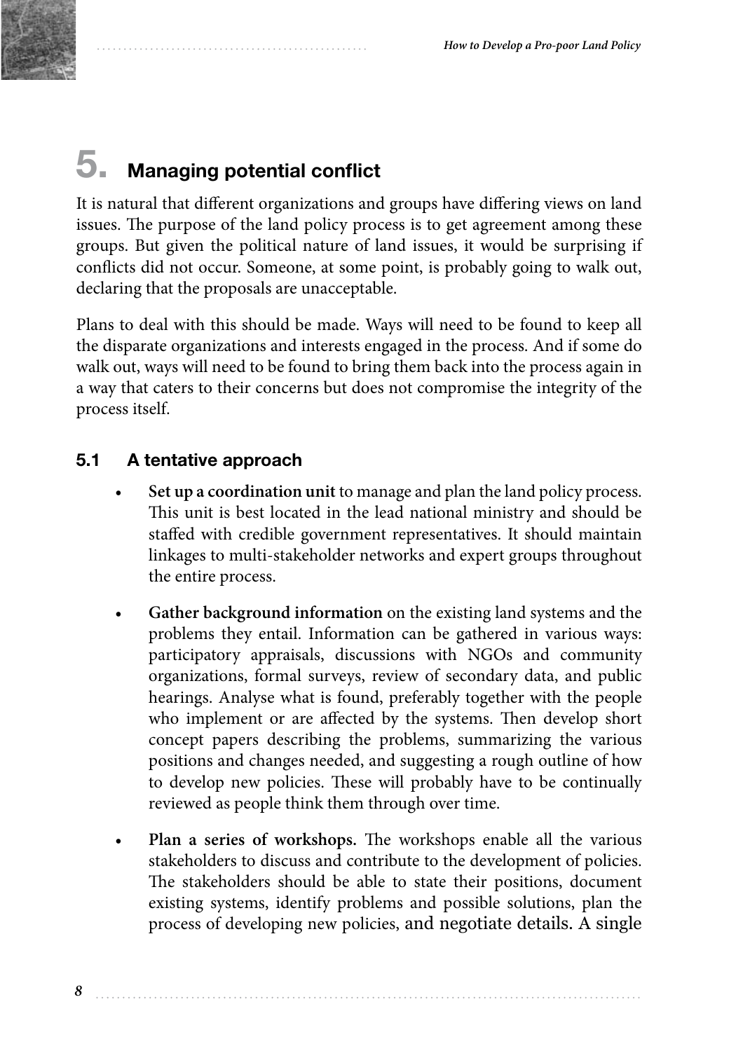## **5. Managing potential conflict**

It is natural that different organizations and groups have differing views on land issues. The purpose of the land policy process is to get agreement among these groups. But given the political nature of land issues, it would be surprising if conflicts did not occur. Someone, at some point, is probably going to walk out, declaring that the proposals are unacceptable.

Plans to deal with this should be made. Ways will need to be found to keep all the disparate organizations and interests engaged in the process. And if some do walk out, ways will need to be found to bring them back into the process again in a way that caters to their concerns but does not compromise the integrity of the process itself.

### **5.1 A tentative approach**

- **Set up a coordination unit** to manage and plan the land policy process. This unit is best located in the lead national ministry and should be staffed with credible government representatives. It should maintain linkages to multi-stakeholder networks and expert groups throughout the entire process.
- **Gather background information** on the existing land systems and the problems they entail. Information can be gathered in various ways: participatory appraisals, discussions with NGOs and community organizations, formal surveys, review of secondary data, and public hearings. Analyse what is found, preferably together with the people who implement or are affected by the systems. Then develop short concept papers describing the problems, summarizing the various positions and changes needed, and suggesting a rough outline of how to develop new policies. These will probably have to be continually reviewed as people think them through over time.
- **Plan a series of workshops.** The workshops enable all the various stakeholders to discuss and contribute to the development of policies. The stakeholders should be able to state their positions, document existing systems, identify problems and possible solutions, plan the process of developing new policies, and negotiate details. A single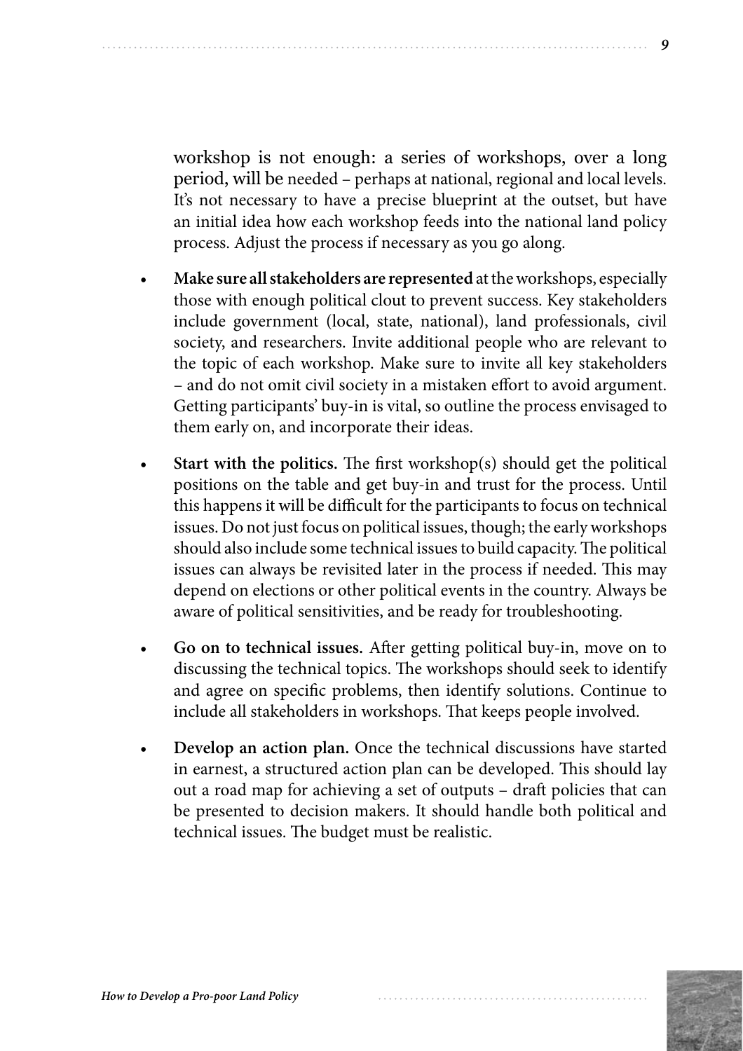workshop is not enough: a series of workshops, over a long period, will be needed – perhaps at national, regional and local levels. It's not necessary to have a precise blueprint at the outset, but have an initial idea how each workshop feeds into the national land policy process. Adjust the process if necessary as you go along.

- **Make sure all stakeholders are represented** at the workshops, especially those with enough political clout to prevent success. Key stakeholders include government (local, state, national), land professionals, civil society, and researchers. Invite additional people who are relevant to the topic of each workshop. Make sure to invite all key stakeholders – and do not omit civil society in a mistaken effort to avoid argument. Getting participants' buy-in is vital, so outline the process envisaged to them early on, and incorporate their ideas.
- **Start with the politics.** The first workshop(s) should get the political positions on the table and get buy-in and trust for the process. Until this happens it will be difficult for the participants to focus on technical issues. Do not just focus on political issues, though; the early workshops should also include some technical issues to build capacity. The political issues can always be revisited later in the process if needed. This may depend on elections or other political events in the country. Always be aware of political sensitivities, and be ready for troubleshooting.
- **Go on to technical issues.** After getting political buy-in, move on to discussing the technical topics. The workshops should seek to identify and agree on specific problems, then identify solutions. Continue to include all stakeholders in workshops. That keeps people involved.
- **Develop an action plan.** Once the technical discussions have started in earnest, a structured action plan can be developed. This should lay out a road map for achieving a set of outputs – draft policies that can be presented to decision makers. It should handle both political and technical issues. The budget must be realistic.

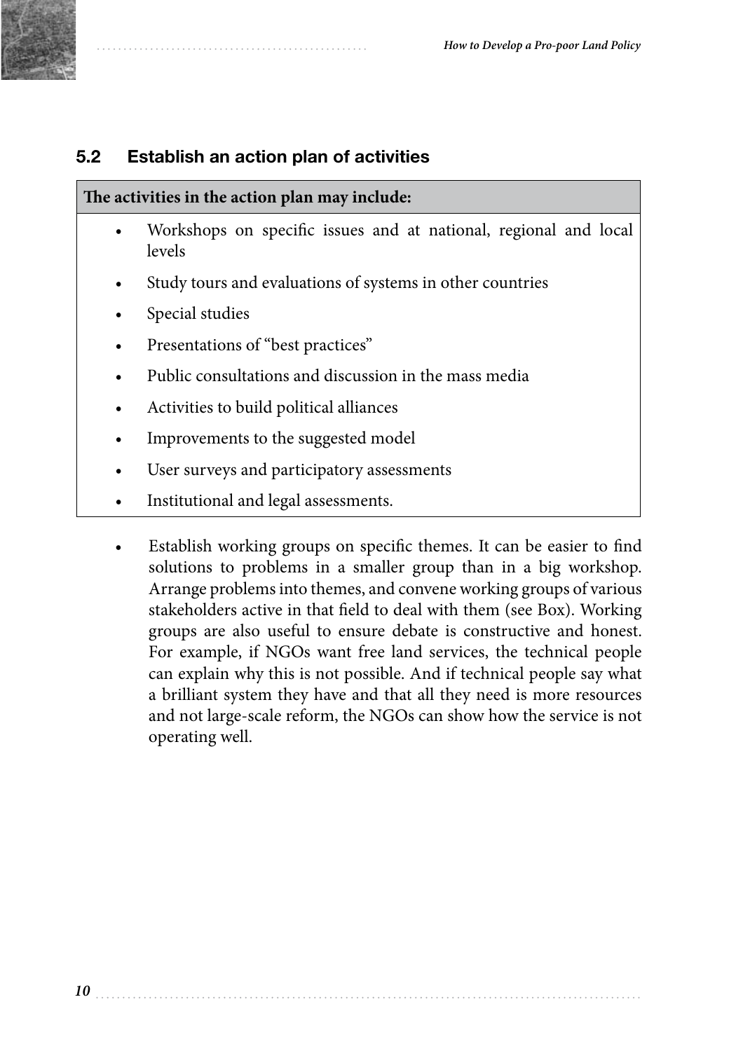### **5.2 Establish an action plan of activities**

### **The activities in the action plan may include:**

- Workshops on specific issues and at national, regional and local levels
- Study tours and evaluations of systems in other countries
- Special studies
- Presentations of "best practices"
- Public consultations and discussion in the mass media
- Activities to build political alliances
- Improvements to the suggested model
- User surveys and participatory assessments
- Institutional and legal assessments.
- Establish working groups on specific themes. It can be easier to find solutions to problems in a smaller group than in a big workshop. Arrange problems into themes, and convene working groups of various stakeholders active in that field to deal with them (see Box). Working groups are also useful to ensure debate is constructive and honest. For example, if NGOs want free land services, the technical people can explain why this is not possible. And if technical people say what a brilliant system they have and that all they need is more resources and not large-scale reform, the NGOs can show how the service is not operating well.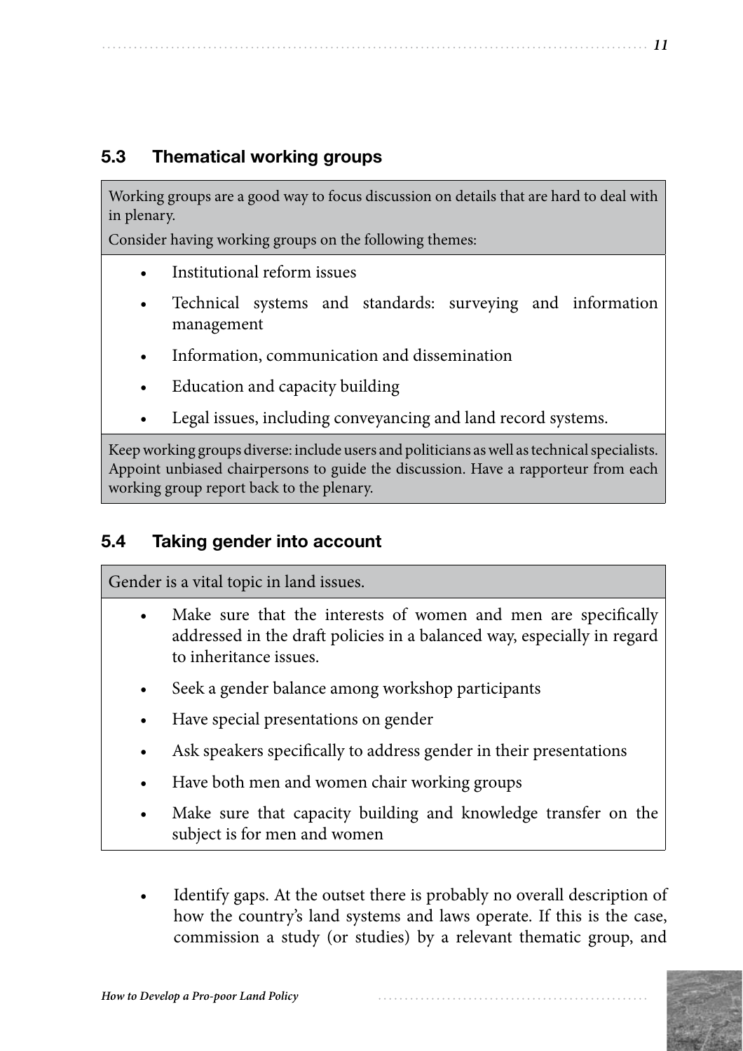### **5.3 Thematical working groups**

Working groups are a good way to focus discussion on details that are hard to deal with in plenary.

Consider having working groups on the following themes:

- Institutional reform issues
- Technical systems and standards: surveying and information management
- Information, communication and dissemination
- Education and capacity building
- Legal issues, including conveyancing and land record systems.

Keep working groups diverse: include users and politicians as well as technical specialists. Appoint unbiased chairpersons to guide the discussion. Have a rapporteur from each working group report back to the plenary.

### **5.4 Taking gender into account**

Gender is a vital topic in land issues.

- Make sure that the interests of women and men are specifically addressed in the draft policies in a balanced way, especially in regard to inheritance issues.
- Seek a gender balance among workshop participants
- Have special presentations on gender
- Ask speakers specifically to address gender in their presentations
- Have both men and women chair working groups
- Make sure that capacity building and knowledge transfer on the subject is for men and women
- Identify gaps. At the outset there is probably no overall description of how the country's land systems and laws operate. If this is the case, commission a study (or studies) by a relevant thematic group, and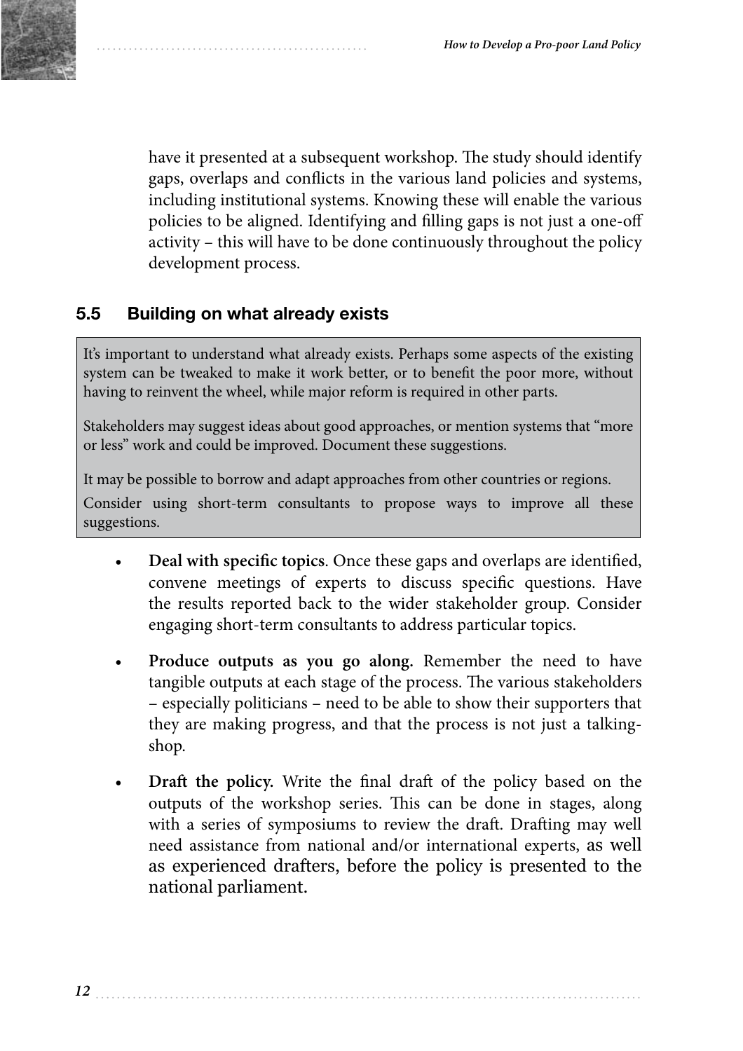

have it presented at a subsequent workshop. The study should identify gaps, overlaps and conflicts in the various land policies and systems, including institutional systems. Knowing these will enable the various policies to be aligned. Identifying and filling gaps is not just a one-off activity – this will have to be done continuously throughout the policy development process.

### **5.5 Building on what already exists**

It's important to understand what already exists. Perhaps some aspects of the existing system can be tweaked to make it work better, or to benefit the poor more, without having to reinvent the wheel, while major reform is required in other parts.

Stakeholders may suggest ideas about good approaches, or mention systems that "more or less" work and could be improved. Document these suggestions.

It may be possible to borrow and adapt approaches from other countries or regions.

Consider using short-term consultants to propose ways to improve all these suggestions.

- **Deal with specific topics**. Once these gaps and overlaps are identified, convene meetings of experts to discuss specific questions. Have the results reported back to the wider stakeholder group. Consider engaging short-term consultants to address particular topics.
- **Produce outputs as you go along.** Remember the need to have tangible outputs at each stage of the process. The various stakeholders – especially politicians – need to be able to show their supporters that they are making progress, and that the process is not just a talkingshop.
- **Draft the policy.** Write the final draft of the policy based on the outputs of the workshop series. This can be done in stages, along with a series of symposiums to review the draft. Drafting may well need assistance from national and/or international experts, as well as experienced drafters, before the policy is presented to the national parliament.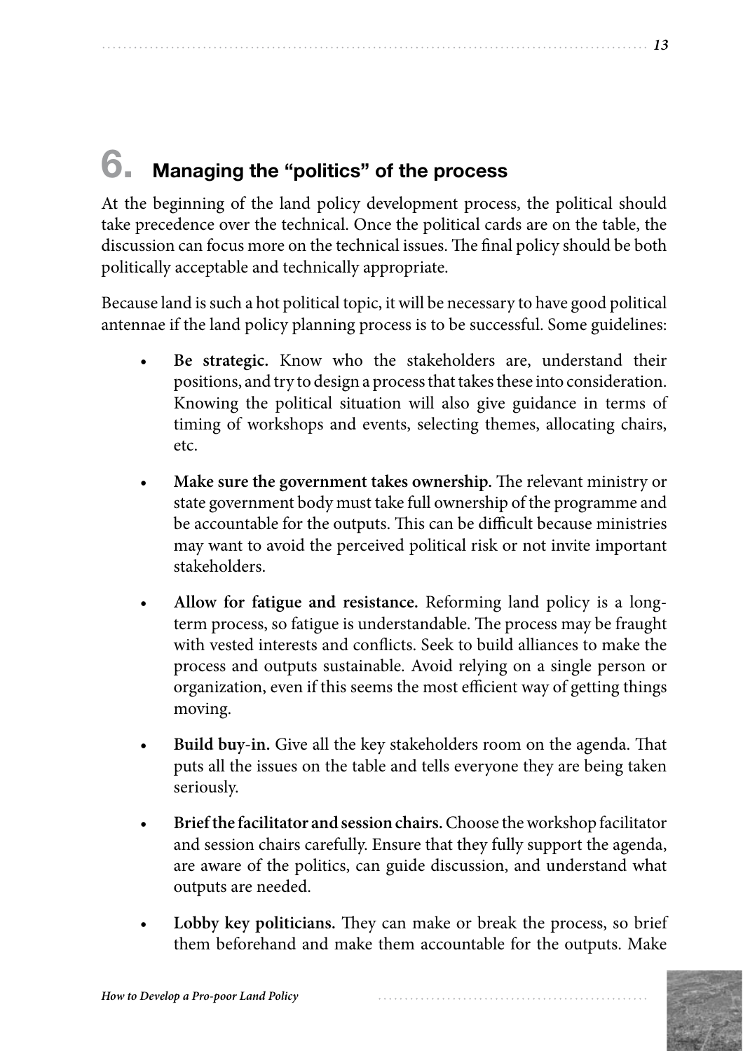## **6. Managing the "politics" of the process**

At the beginning of the land policy development process, the political should take precedence over the technical. Once the political cards are on the table, the discussion can focus more on the technical issues. The final policy should be both politically acceptable and technically appropriate.

Because land is such a hot political topic, it will be necessary to have good political antennae if the land policy planning process is to be successful. Some guidelines:

- **Be strategic.** Know who the stakeholders are, understand their positions, and try to design a process that takes these into consideration. Knowing the political situation will also give guidance in terms of timing of workshops and events, selecting themes, allocating chairs, etc.
- **Make sure the government takes ownership.** The relevant ministry or state government body must take full ownership of the programme and be accountable for the outputs. This can be difficult because ministries may want to avoid the perceived political risk or not invite important stakeholders.
- **Allow for fatigue and resistance.** Reforming land policy is a longterm process, so fatigue is understandable. The process may be fraught with vested interests and conflicts. Seek to build alliances to make the process and outputs sustainable. Avoid relying on a single person or organization, even if this seems the most efficient way of getting things moving.
- **Build buy-in.** Give all the key stakeholders room on the agenda. That puts all the issues on the table and tells everyone they are being taken seriously.
- **Brief the facilitator and session chairs.** Choose the workshop facilitator and session chairs carefully. Ensure that they fully support the agenda, are aware of the politics, can guide discussion, and understand what outputs are needed.
- **Lobby key politicians.** They can make or break the process, so brief them beforehand and make them accountable for the outputs. Make

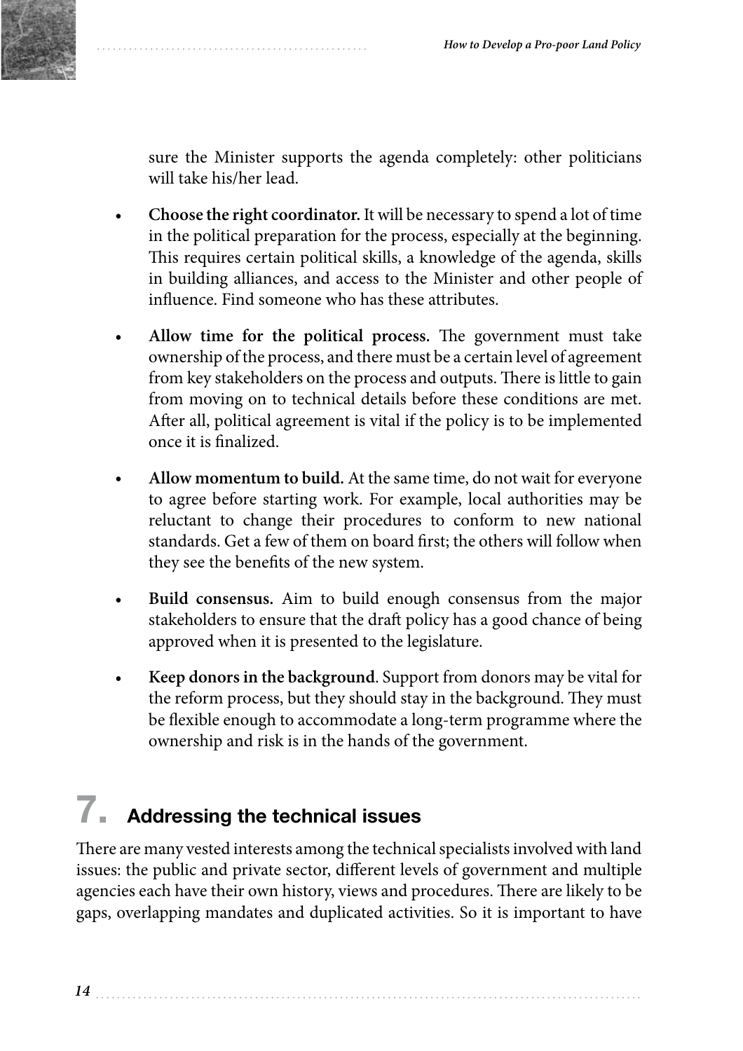

sure the Minister supports the agenda completely: other politicians will take his/her lead.

- **Choose the right coordinator.** It will be necessary to spend a lot of time in the political preparation for the process, especially at the beginning. This requires certain political skills, a knowledge of the agenda, skills in building alliances, and access to the Minister and other people of influence. Find someone who has these attributes.
- **Allow time for the political process.** The government must take ownership of the process, and there must be a certain level of agreement from key stakeholders on the process and outputs. There is little to gain from moving on to technical details before these conditions are met. After all, political agreement is vital if the policy is to be implemented once it is finalized.
- **Allow momentum to build.** At the same time, do not wait for everyone to agree before starting work. For example, local authorities may be reluctant to change their procedures to conform to new national standards. Get a few of them on board first; the others will follow when they see the benefits of the new system.
- **Build consensus.** Aim to build enough consensus from the major stakeholders to ensure that the draft policy has a good chance of being approved when it is presented to the legislature.
- **Keep donors in the background**. Support from donors may be vital for the reform process, but they should stay in the background. They must be flexible enough to accommodate a long-term programme where the ownership and risk is in the hands of the government.

## **7. Addressing the technical issues**

There are many vested interests among the technical specialists involved with land issues: the public and private sector, different levels of government and multiple agencies each have their own history, views and procedures. There are likely to be gaps, overlapping mandates and duplicated activities. So it is important to have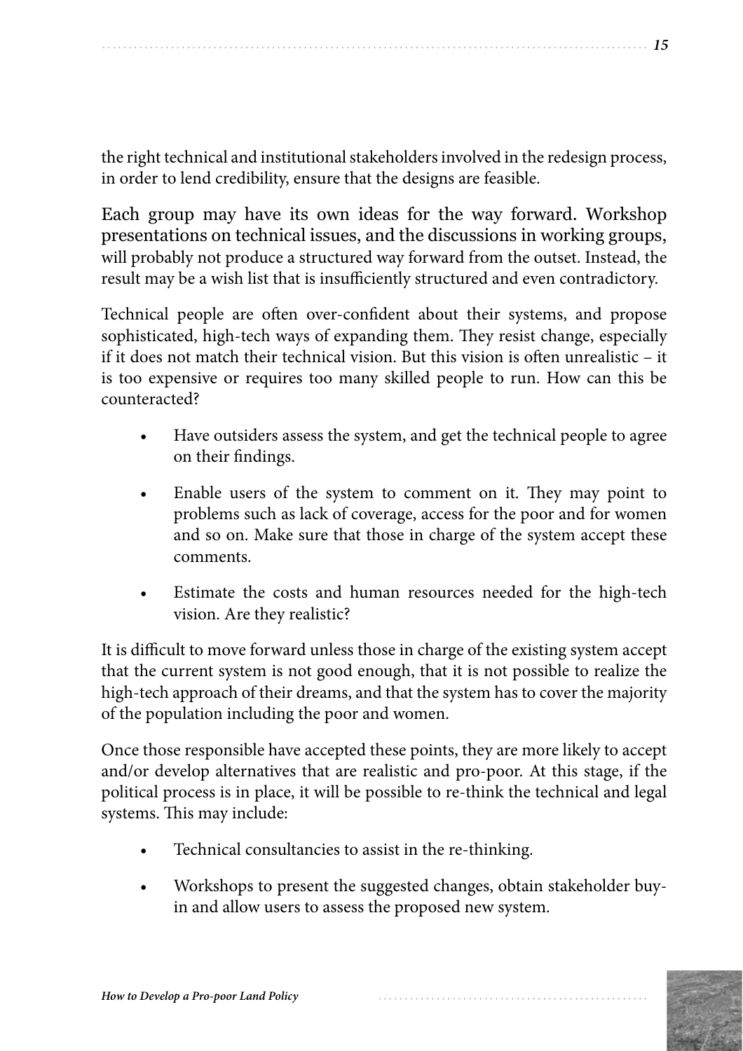the right technical and institutional stakeholders involved in the redesign process, in order to lend credibility, ensure that the designs are feasible.

Each group may have its own ideas for the way forward. Workshop presentations on technical issues, and the discussions in working groups, will probably not produce a structured way forward from the outset. Instead, the result may be a wish list that is insufficiently structured and even contradictory.

Technical people are often over-confident about their systems, and propose sophisticated, high-tech ways of expanding them. They resist change, especially if it does not match their technical vision. But this vision is often unrealistic – it is too expensive or requires too many skilled people to run. How can this be counteracted?

- Have outsiders assess the system, and get the technical people to agree on their findings.
- Enable users of the system to comment on it. They may point to problems such as lack of coverage, access for the poor and for women and so on. Make sure that those in charge of the system accept these comments.
- Estimate the costs and human resources needed for the high-tech vision. Are they realistic?

It is difficult to move forward unless those in charge of the existing system accept that the current system is not good enough, that it is not possible to realize the high-tech approach of their dreams, and that the system has to cover the majority of the population including the poor and women.

Once those responsible have accepted these points, they are more likely to accept and/or develop alternatives that are realistic and pro-poor. At this stage, if the political process is in place, it will be possible to re-think the technical and legal systems. This may include:

- Technical consultancies to assist in the re-thinking.
- Workshops to present the suggested changes, obtain stakeholder buyin and allow users to assess the proposed new system.

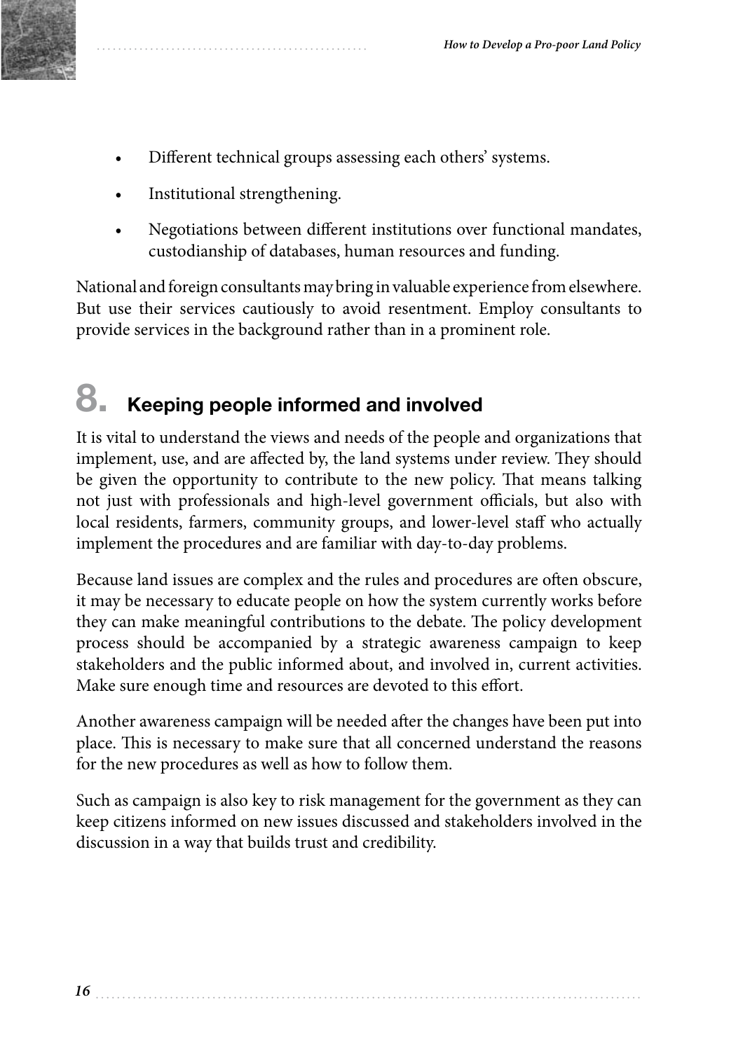- 
- Different technical groups assessing each others' systems.
- Institutional strengthening.
- Negotiations between different institutions over functional mandates, custodianship of databases, human resources and funding.

National and foreign consultants may bring in valuable experience from elsewhere. But use their services cautiously to avoid resentment. Employ consultants to provide services in the background rather than in a prominent role.

## **8. Keeping people informed and involved**

It is vital to understand the views and needs of the people and organizations that implement, use, and are affected by, the land systems under review. They should be given the opportunity to contribute to the new policy. That means talking not just with professionals and high-level government officials, but also with local residents, farmers, community groups, and lower-level staff who actually implement the procedures and are familiar with day-to-day problems.

Because land issues are complex and the rules and procedures are often obscure, it may be necessary to educate people on how the system currently works before they can make meaningful contributions to the debate. The policy development process should be accompanied by a strategic awareness campaign to keep stakeholders and the public informed about, and involved in, current activities. Make sure enough time and resources are devoted to this effort.

Another awareness campaign will be needed after the changes have been put into place. This is necessary to make sure that all concerned understand the reasons for the new procedures as well as how to follow them.

Such as campaign is also key to risk management for the government as they can keep citizens informed on new issues discussed and stakeholders involved in the discussion in a way that builds trust and credibility.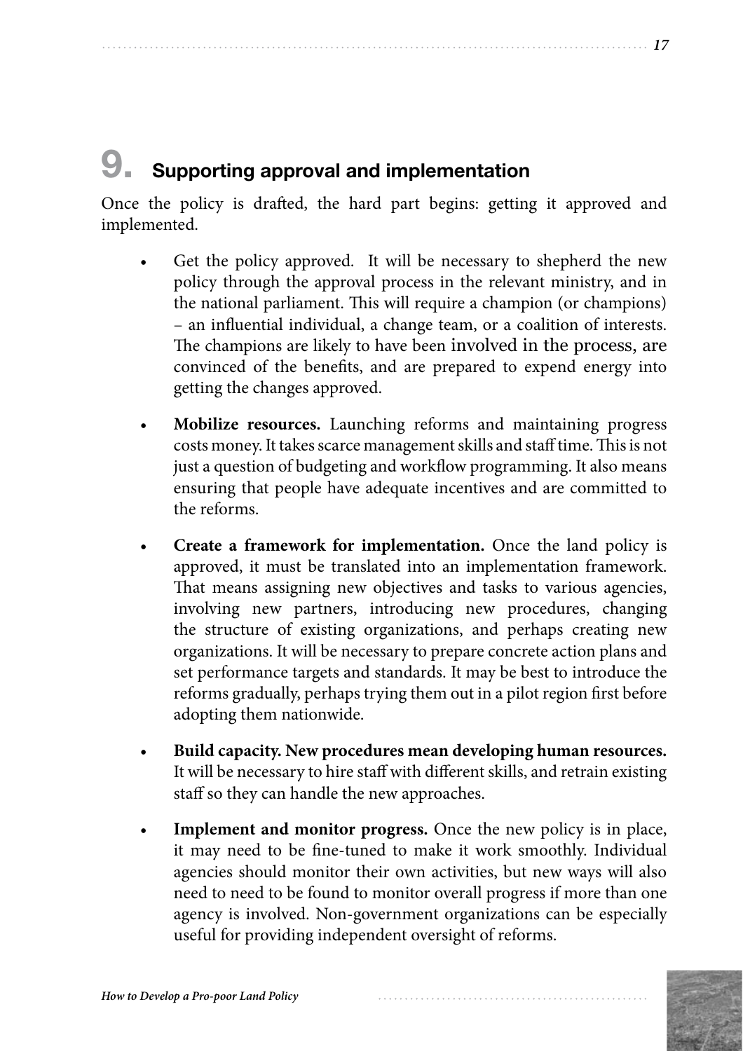## **9. Supporting approval and implementation**

Once the policy is drafted, the hard part begins: getting it approved and implemented.

- Get the policy approved. It will be necessary to shepherd the new policy through the approval process in the relevant ministry, and in the national parliament. This will require a champion (or champions) – an influential individual, a change team, or a coalition of interests. The champions are likely to have been involved in the process, are convinced of the benefits, and are prepared to expend energy into getting the changes approved.
- **Mobilize resources.** Launching reforms and maintaining progress costs money. It takes scarce management skills and staff time. This is not just a question of budgeting and workflow programming. It also means ensuring that people have adequate incentives and are committed to the reforms.
- **Create a framework for implementation.** Once the land policy is approved, it must be translated into an implementation framework. That means assigning new objectives and tasks to various agencies, involving new partners, introducing new procedures, changing the structure of existing organizations, and perhaps creating new organizations. It will be necessary to prepare concrete action plans and set performance targets and standards. It may be best to introduce the reforms gradually, perhaps trying them out in a pilot region first before adopting them nationwide.
- **Build capacity. New procedures mean developing human resources.** It will be necessary to hire staff with different skills, and retrain existing staff so they can handle the new approaches.
- **Implement and monitor progress.** Once the new policy is in place, it may need to be fine-tuned to make it work smoothly. Individual agencies should monitor their own activities, but new ways will also need to need to be found to monitor overall progress if more than one agency is involved. Non-government organizations can be especially useful for providing independent oversight of reforms.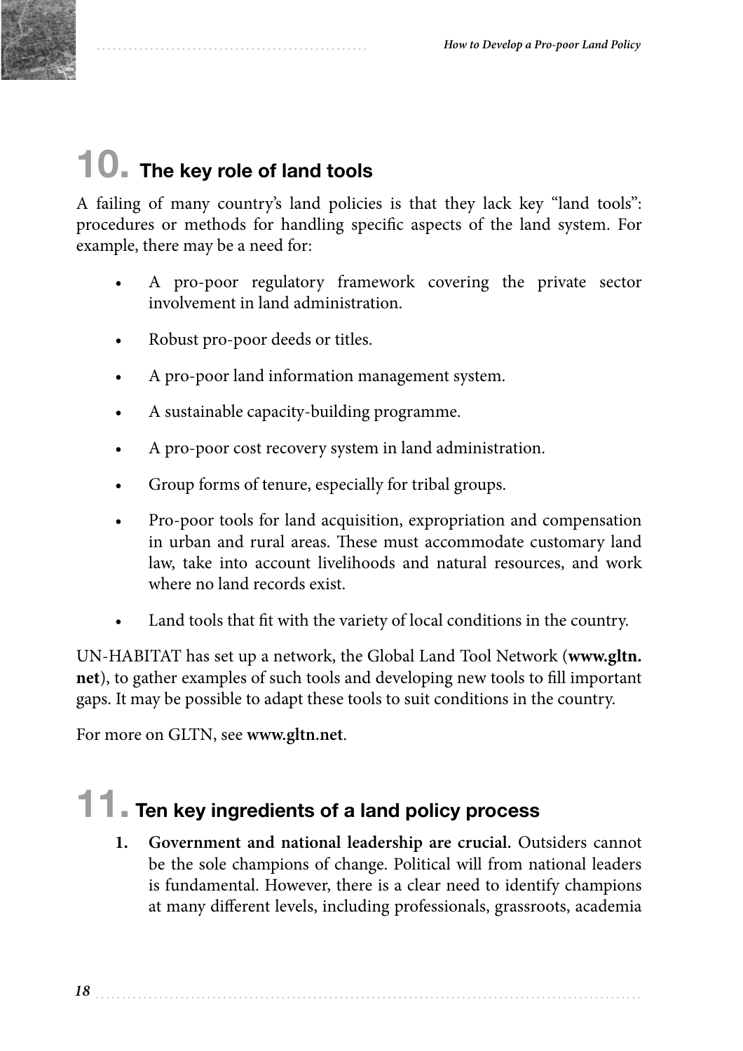

## **10. The key role of land tools**

A failing of many country's land policies is that they lack key "land tools": procedures or methods for handling specific aspects of the land system. For example, there may be a need for:

- A pro-poor regulatory framework covering the private sector involvement in land administration.
- Robust pro-poor deeds or titles.
- A pro-poor land information management system.
- A sustainable capacity-building programme.
- A pro-poor cost recovery system in land administration.
- Group forms of tenure, especially for tribal groups.
- Pro-poor tools for land acquisition, expropriation and compensation in urban and rural areas. These must accommodate customary land law, take into account livelihoods and natural resources, and work where no land records exist.
- Land tools that fit with the variety of local conditions in the country.

UN-HABITAT has set up a network, the Global Land Tool Network (**www.gltn. net**), to gather examples of such tools and developing new tools to fill important gaps. It may be possible to adapt these tools to suit conditions in the country.

For more on GLTN, see **www.gltn.net**.

## **11. Ten key ingredients of a land policy process**

**1. Government and national leadership are crucial.** Outsiders cannot be the sole champions of change. Political will from national leaders is fundamental. However, there is a clear need to identify champions at many different levels, including professionals, grassroots, academia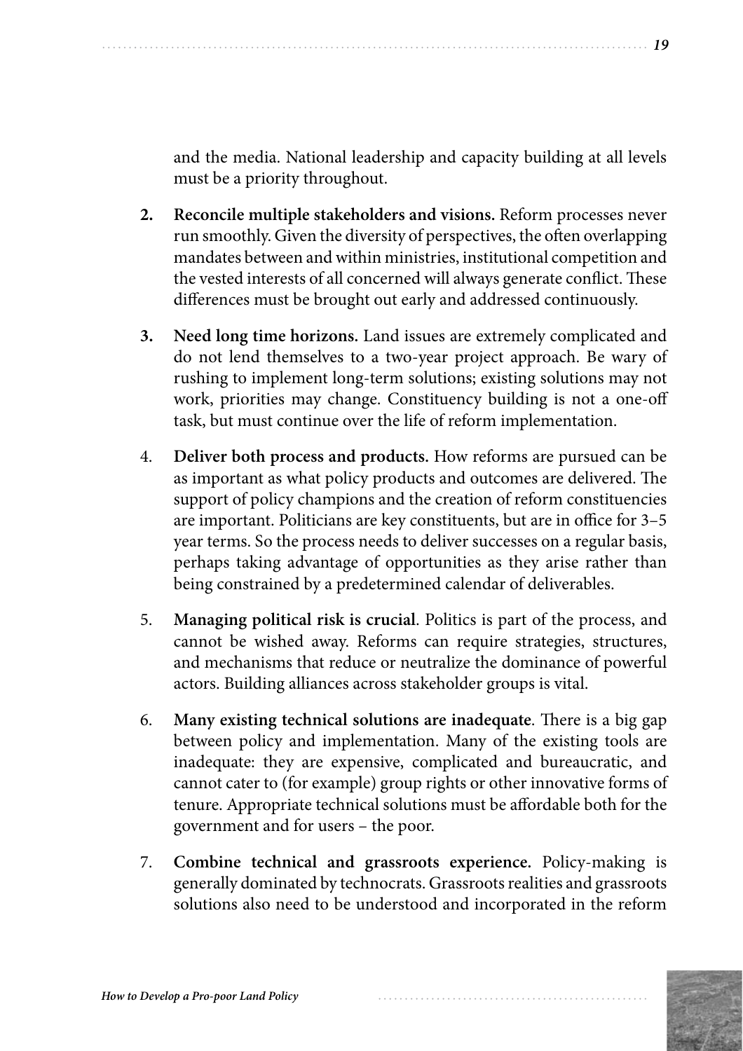and the media. National leadership and capacity building at all levels must be a priority throughout.

- **2. Reconcile multiple stakeholders and visions.** Reform processes never run smoothly. Given the diversity of perspectives, the often overlapping mandates between and within ministries, institutional competition and the vested interests of all concerned will always generate conflict. These differences must be brought out early and addressed continuously.
- **3. Need long time horizons.** Land issues are extremely complicated and do not lend themselves to a two-year project approach. Be wary of rushing to implement long-term solutions; existing solutions may not work, priorities may change. Constituency building is not a one-off task, but must continue over the life of reform implementation.
- 4. **Deliver both process and products.** How reforms are pursued can be as important as what policy products and outcomes are delivered. The support of policy champions and the creation of reform constituencies are important. Politicians are key constituents, but are in office for 3–5 year terms. So the process needs to deliver successes on a regular basis, perhaps taking advantage of opportunities as they arise rather than being constrained by a predetermined calendar of deliverables.
- 5. **Managing political risk is crucial**. Politics is part of the process, and cannot be wished away. Reforms can require strategies, structures, and mechanisms that reduce or neutralize the dominance of powerful actors. Building alliances across stakeholder groups is vital.
- 6. **Many existing technical solutions are inadequate**. There is a big gap between policy and implementation. Many of the existing tools are inadequate: they are expensive, complicated and bureaucratic, and cannot cater to (for example) group rights or other innovative forms of tenure. Appropriate technical solutions must be affordable both for the government and for users – the poor.
- 7. **Combine technical and grassroots experience.** Policy-making is generally dominated by technocrats. Grassroots realities and grassroots solutions also need to be understood and incorporated in the reform

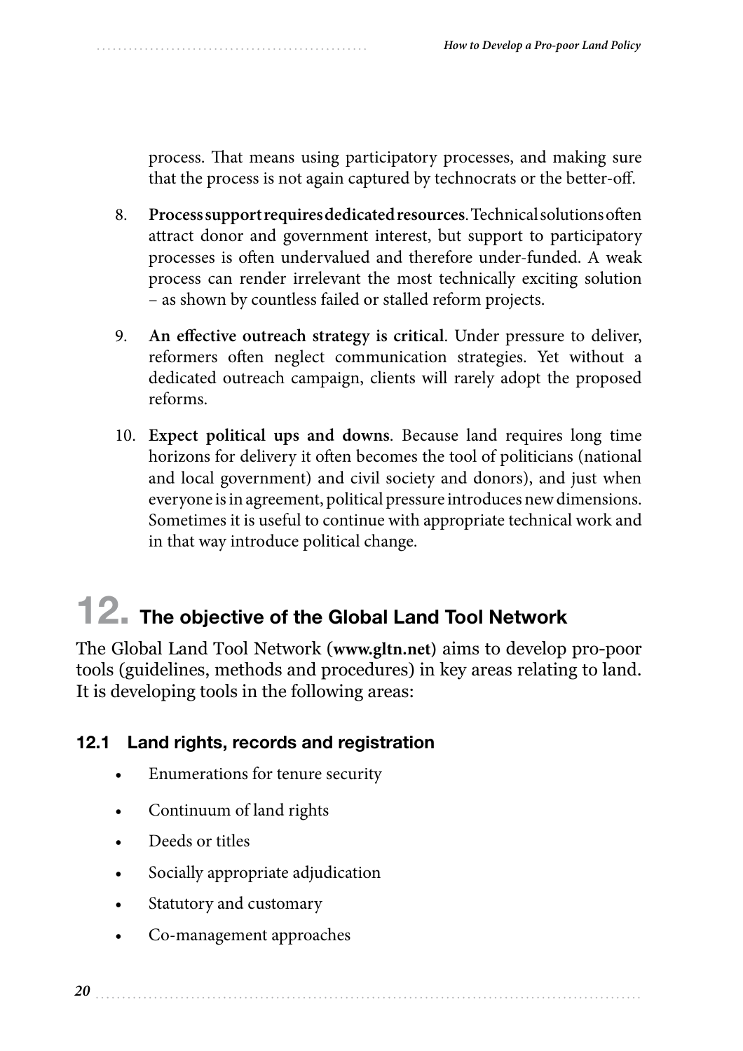process. That means using participatory processes, and making sure that the process is not again captured by technocrats or the better-off.

- 8. **Process support requires dedicated resources**. Technical solutions often attract donor and government interest, but support to participatory processes is often undervalued and therefore under-funded. A weak process can render irrelevant the most technically exciting solution – as shown by countless failed or stalled reform projects.
- 9. **An effective outreach strategy is critical**. Under pressure to deliver, reformers often neglect communication strategies. Yet without a dedicated outreach campaign, clients will rarely adopt the proposed reforms.
- 10. **Expect political ups and downs**. Because land requires long time horizons for delivery it often becomes the tool of politicians (national and local government) and civil society and donors), and just when everyone is in agreement, political pressure introduces new dimensions. Sometimes it is useful to continue with appropriate technical work and in that way introduce political change.

# **12. The objective of the Global Land Tool Network**

The Global Land Tool Network (**www.gltn.net)** aims to develop pro-poor tools (guidelines, methods and procedures) in key areas relating to land. It is developing tools in the following areas:

## **12.1 Land rights, records and registration**

- Enumerations for tenure security
- Continuum of land rights
- Deeds or titles
- Socially appropriate adjudication
- Statutory and customary
- Co-management approaches

*20*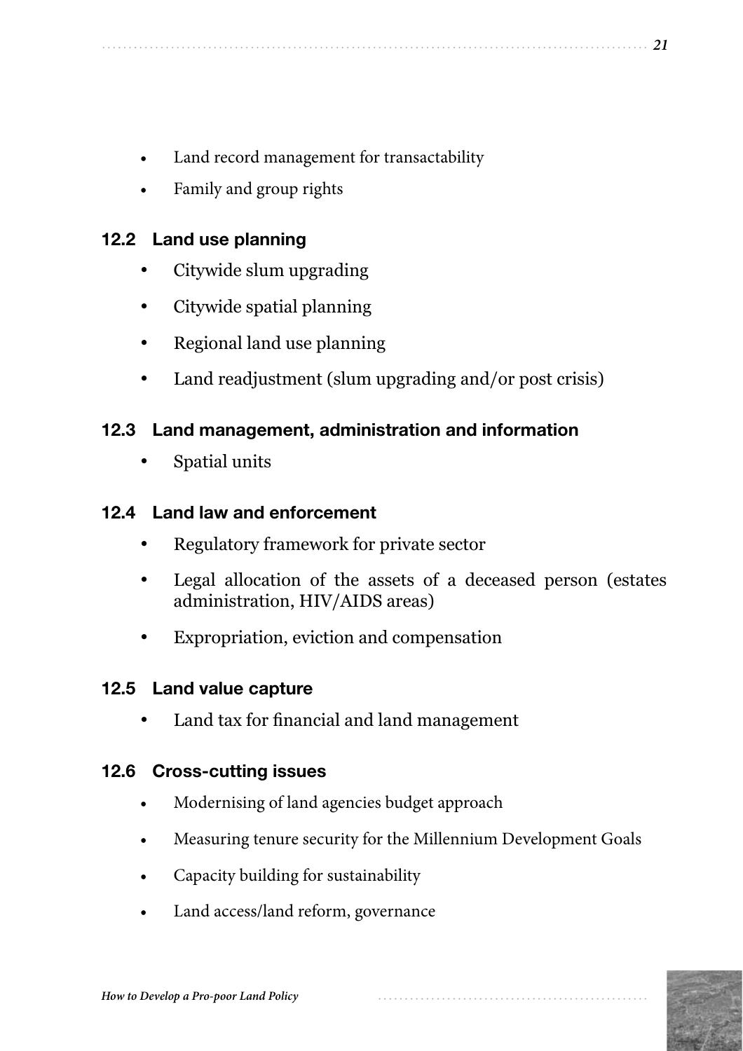- Land record management for transactability
- Family and group rights

### **12.2 Land use planning**

- Citywide slum upgrading
- Citywide spatial planning
- Regional land use planning
- Land readjustment (slum upgrading and/or post crisis)

### **12.3 Land management, administration and information**

Spatial units

### **12.4 Land law and enforcement**

- Regulatory framework for private sector
- Legal allocation of the assets of a deceased person (estates administration, HIV/AIDS areas)
- Expropriation, eviction and compensation

### **12.5 Land value capture**

Land tax for financial and land management

### **12.6 Cross-cutting issues**

- Modernising of land agencies budget approach
- Measuring tenure security for the Millennium Development Goals
- Capacity building for sustainability
- Land access/land reform, governance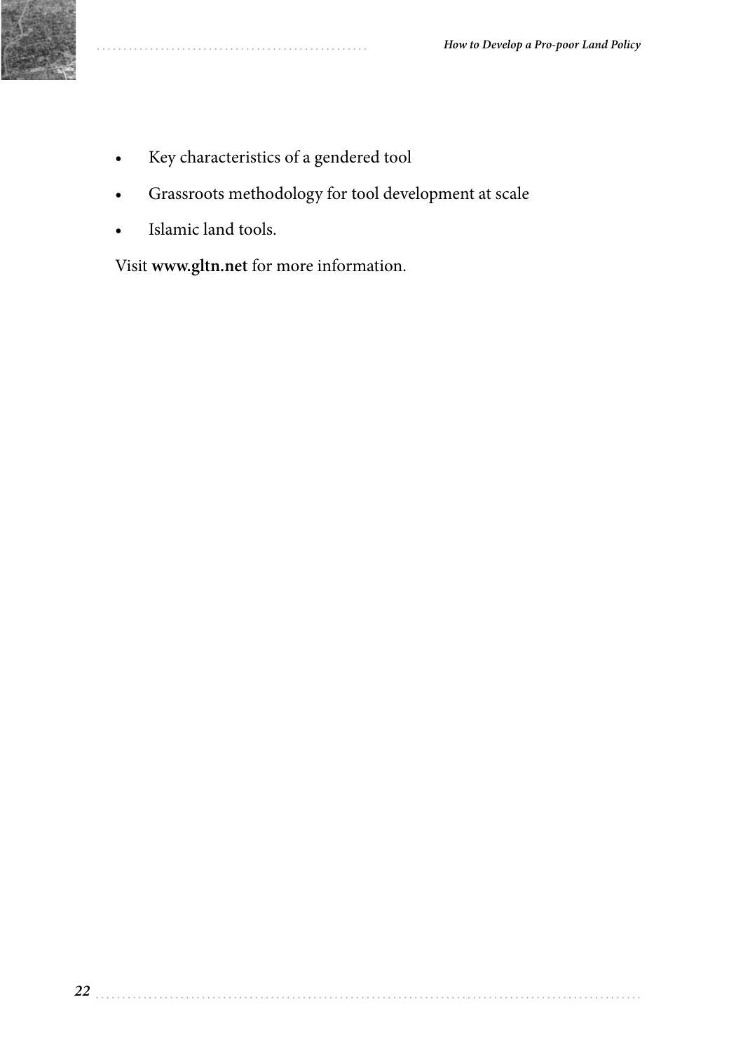

• Key characteristics of a gendered tool

- Grassroots methodology for tool development at scale
- Islamic land tools.

Visit **www.gltn.net** for more information.